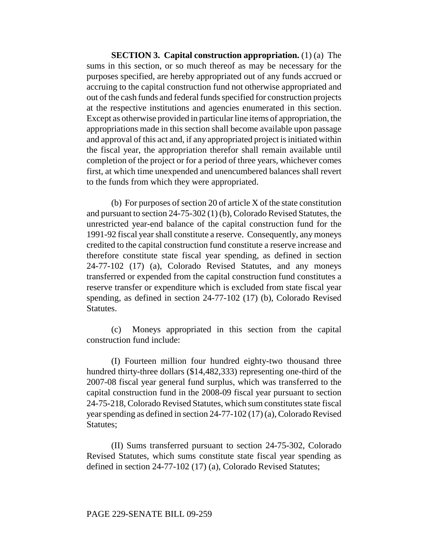**SECTION 3. Capital construction appropriation.** (1) (a) The sums in this section, or so much thereof as may be necessary for the purposes specified, are hereby appropriated out of any funds accrued or accruing to the capital construction fund not otherwise appropriated and out of the cash funds and federal funds specified for construction projects at the respective institutions and agencies enumerated in this section. Except as otherwise provided in particular line items of appropriation, the appropriations made in this section shall become available upon passage and approval of this act and, if any appropriated project is initiated within the fiscal year, the appropriation therefor shall remain available until completion of the project or for a period of three years, whichever comes first, at which time unexpended and unencumbered balances shall revert to the funds from which they were appropriated.

(b) For purposes of section 20 of article X of the state constitution and pursuant to section 24-75-302 (1) (b), Colorado Revised Statutes, the unrestricted year-end balance of the capital construction fund for the 1991-92 fiscal year shall constitute a reserve. Consequently, any moneys credited to the capital construction fund constitute a reserve increase and therefore constitute state fiscal year spending, as defined in section 24-77-102 (17) (a), Colorado Revised Statutes, and any moneys transferred or expended from the capital construction fund constitutes a reserve transfer or expenditure which is excluded from state fiscal year spending, as defined in section 24-77-102 (17) (b), Colorado Revised Statutes.

(c) Moneys appropriated in this section from the capital construction fund include:

(I) Fourteen million four hundred eighty-two thousand three hundred thirty-three dollars (\$14,482,333) representing one-third of the 2007-08 fiscal year general fund surplus, which was transferred to the capital construction fund in the 2008-09 fiscal year pursuant to section 24-75-218, Colorado Revised Statutes, which sum constitutes state fiscal year spending as defined in section 24-77-102 (17) (a), Colorado Revised Statutes;

(II) Sums transferred pursuant to section 24-75-302, Colorado Revised Statutes, which sums constitute state fiscal year spending as defined in section 24-77-102 (17) (a), Colorado Revised Statutes;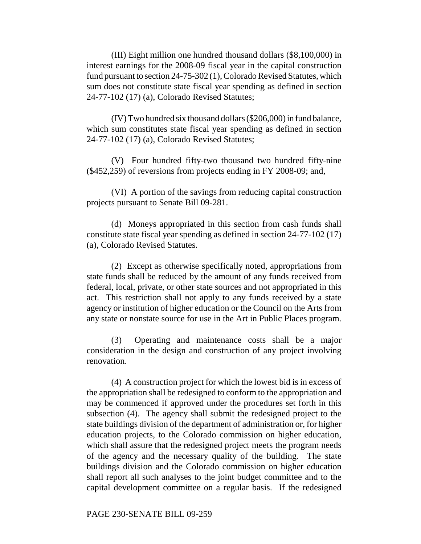(III) Eight million one hundred thousand dollars (\$8,100,000) in interest earnings for the 2008-09 fiscal year in the capital construction fund pursuant to section 24-75-302 (1), Colorado Revised Statutes, which sum does not constitute state fiscal year spending as defined in section 24-77-102 (17) (a), Colorado Revised Statutes;

(IV) Two hundred six thousand dollars (\$206,000) in fund balance, which sum constitutes state fiscal year spending as defined in section 24-77-102 (17) (a), Colorado Revised Statutes;

(V) Four hundred fifty-two thousand two hundred fifty-nine (\$452,259) of reversions from projects ending in FY 2008-09; and,

(VI) A portion of the savings from reducing capital construction projects pursuant to Senate Bill 09-281.

(d) Moneys appropriated in this section from cash funds shall constitute state fiscal year spending as defined in section 24-77-102 (17) (a), Colorado Revised Statutes.

(2) Except as otherwise specifically noted, appropriations from state funds shall be reduced by the amount of any funds received from federal, local, private, or other state sources and not appropriated in this act. This restriction shall not apply to any funds received by a state agency or institution of higher education or the Council on the Arts from any state or nonstate source for use in the Art in Public Places program.

(3) Operating and maintenance costs shall be a major consideration in the design and construction of any project involving renovation.

(4) A construction project for which the lowest bid is in excess of the appropriation shall be redesigned to conform to the appropriation and may be commenced if approved under the procedures set forth in this subsection (4). The agency shall submit the redesigned project to the state buildings division of the department of administration or, for higher education projects, to the Colorado commission on higher education, which shall assure that the redesigned project meets the program needs of the agency and the necessary quality of the building. The state buildings division and the Colorado commission on higher education shall report all such analyses to the joint budget committee and to the capital development committee on a regular basis. If the redesigned